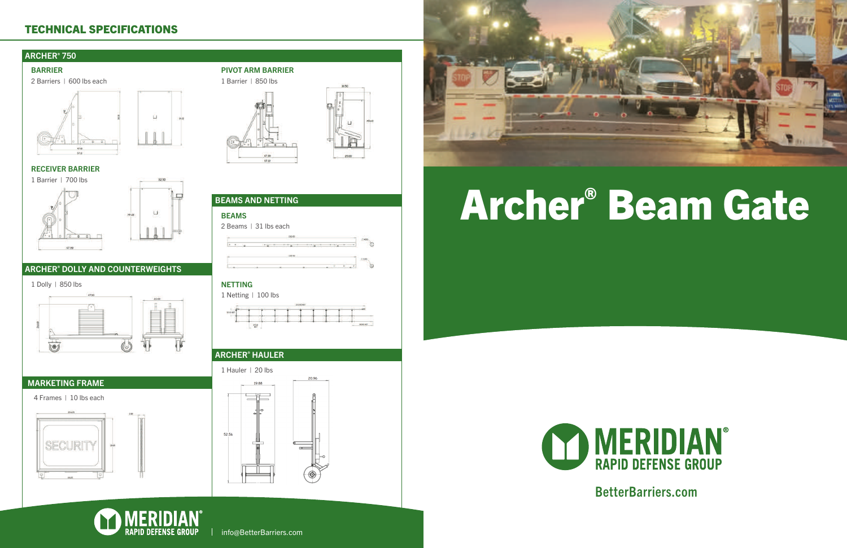# Archer® Beam Gate

### MERIDIAN® **RAPID DEFENSE GROUP**

BetterBarriers.com

: 100









52.56